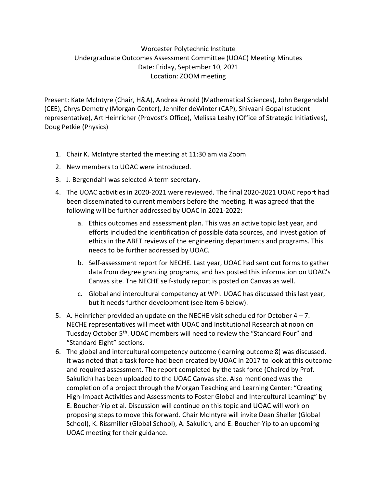## Worcester Polytechnic Institute Undergraduate Outcomes Assessment Committee (UOAC) Meeting Minutes Date: Friday, September 10, 2021 Location: ZOOM meeting

Present: Kate McIntyre (Chair, H&A), Andrea Arnold (Mathematical Sciences), John Bergendahl (CEE), Chrys Demetry (Morgan Center), Jennifer deWinter (CAP), Shivaani Gopal (student representative), Art Heinricher (Provost's Office), Melissa Leahy (Office of Strategic Initiatives), Doug Petkie (Physics)

- 1. Chair K. McIntyre started the meeting at 11:30 am via Zoom
- 2. New members to UOAC were introduced.
- 3. J. Bergendahl was selected A term secretary.
- 4. The UOAC activities in 2020-2021 were reviewed. The final 2020-2021 UOAC report had been disseminated to current members before the meeting. It was agreed that the following will be further addressed by UOAC in 2021-2022:
	- a. Ethics outcomes and assessment plan. This was an active topic last year, and efforts included the identification of possible data sources, and investigation of ethics in the ABET reviews of the engineering departments and programs. This needs to be further addressed by UOAC.
	- b. Self-assessment report for NECHE. Last year, UOAC had sent out forms to gather data from degree granting programs, and has posted this information on UOAC's Canvas site. The NECHE self-study report is posted on Canvas as well.
	- c. Global and intercultural competency at WPI. UOAC has discussed this last year, but it needs further development (see item 6 below).
- 5. A. Heinricher provided an update on the NECHE visit scheduled for October  $4 7$ . NECHE representatives will meet with UOAC and Institutional Research at noon on Tuesday October 5th. UOAC members will need to review the "Standard Four" and "Standard Eight" sections.
- 6. The global and intercultural competency outcome (learning outcome 8) was discussed. It was noted that a task force had been created by UOAC in 2017 to look at this outcome and required assessment. The report completed by the task force (Chaired by Prof. Sakulich) has been uploaded to the UOAC Canvas site. Also mentioned was the completion of a project through the Morgan Teaching and Learning Center: "Creating High-Impact Activities and Assessments to Foster Global and Intercultural Learning" by E. Boucher-Yip et al. Discussion will continue on this topic and UOAC will work on proposing steps to move this forward. Chair McIntyre will invite Dean Sheller (Global School), K. Rissmiller (Global School), A. Sakulich, and E. Boucher-Yip to an upcoming UOAC meeting for their guidance.